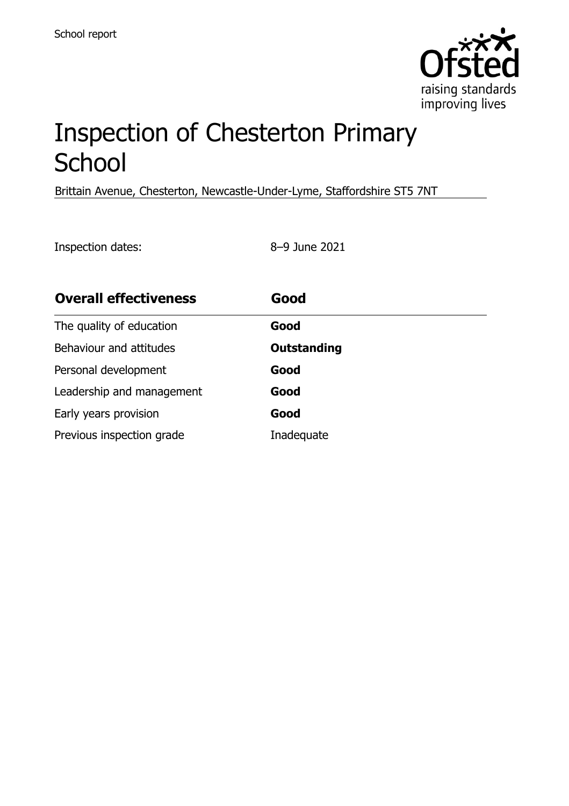

# Inspection of Chesterton Primary **School**

Brittain Avenue, Chesterton, Newcastle-Under-Lyme, Staffordshire ST5 7NT

Inspection dates: 8–9 June 2021

| <b>Overall effectiveness</b> | Good        |
|------------------------------|-------------|
| The quality of education     | Good        |
| Behaviour and attitudes      | Outstanding |
| Personal development         | Good        |
| Leadership and management    | Good        |
| Early years provision        | Good        |
| Previous inspection grade    | Inadequate  |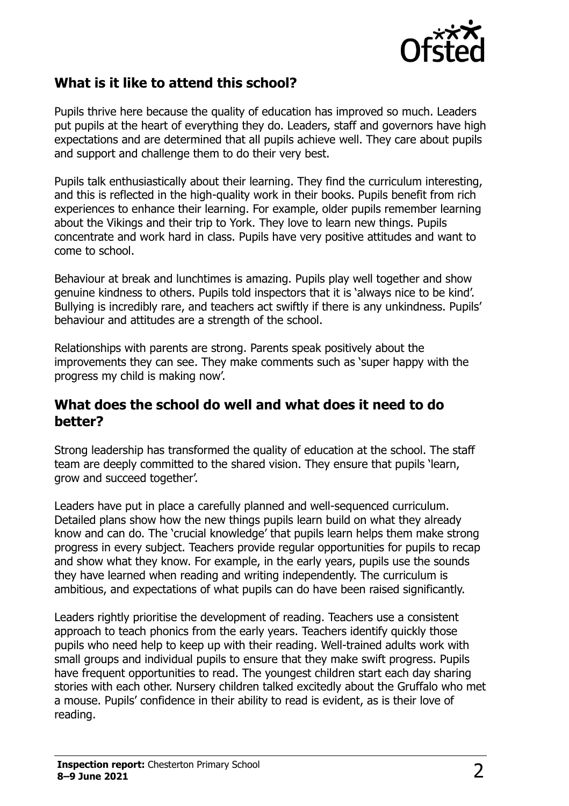

## **What is it like to attend this school?**

Pupils thrive here because the quality of education has improved so much. Leaders put pupils at the heart of everything they do. Leaders, staff and governors have high expectations and are determined that all pupils achieve well. They care about pupils and support and challenge them to do their very best.

Pupils talk enthusiastically about their learning. They find the curriculum interesting, and this is reflected in the high-quality work in their books. Pupils benefit from rich experiences to enhance their learning. For example, older pupils remember learning about the Vikings and their trip to York. They love to learn new things. Pupils concentrate and work hard in class. Pupils have very positive attitudes and want to come to school.

Behaviour at break and lunchtimes is amazing. Pupils play well together and show genuine kindness to others. Pupils told inspectors that it is 'always nice to be kind'. Bullying is incredibly rare, and teachers act swiftly if there is any unkindness. Pupils' behaviour and attitudes are a strength of the school.

Relationships with parents are strong. Parents speak positively about the improvements they can see. They make comments such as 'super happy with the progress my child is making now'.

#### **What does the school do well and what does it need to do better?**

Strong leadership has transformed the quality of education at the school. The staff team are deeply committed to the shared vision. They ensure that pupils 'learn, grow and succeed together'.

Leaders have put in place a carefully planned and well-sequenced curriculum. Detailed plans show how the new things pupils learn build on what they already know and can do. The 'crucial knowledge' that pupils learn helps them make strong progress in every subject. Teachers provide regular opportunities for pupils to recap and show what they know. For example, in the early years, pupils use the sounds they have learned when reading and writing independently. The curriculum is ambitious, and expectations of what pupils can do have been raised significantly.

Leaders rightly prioritise the development of reading. Teachers use a consistent approach to teach phonics from the early years. Teachers identify quickly those pupils who need help to keep up with their reading. Well-trained adults work with small groups and individual pupils to ensure that they make swift progress. Pupils have frequent opportunities to read. The youngest children start each day sharing stories with each other. Nursery children talked excitedly about the Gruffalo who met a mouse. Pupils' confidence in their ability to read is evident, as is their love of reading.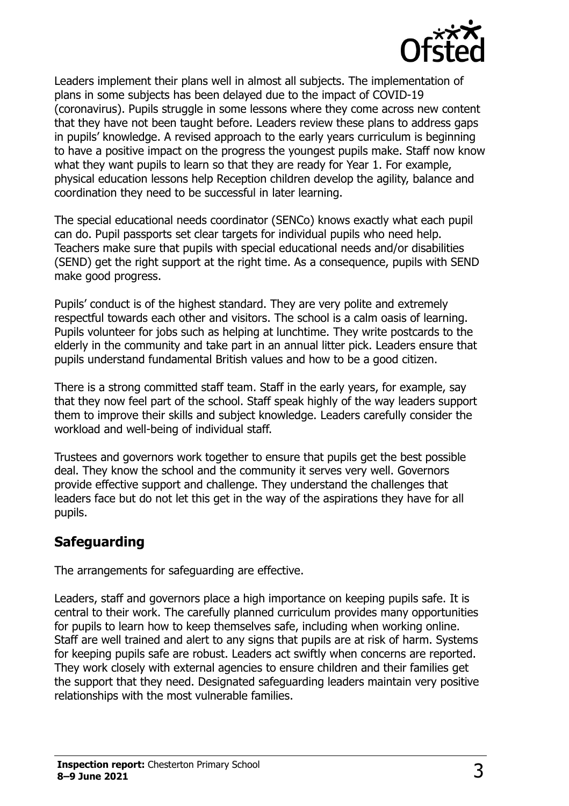

Leaders implement their plans well in almost all subjects. The implementation of plans in some subjects has been delayed due to the impact of COVID-19 (coronavirus). Pupils struggle in some lessons where they come across new content that they have not been taught before. Leaders review these plans to address gaps in pupils' knowledge. A revised approach to the early years curriculum is beginning to have a positive impact on the progress the youngest pupils make. Staff now know what they want pupils to learn so that they are ready for Year 1. For example, physical education lessons help Reception children develop the agility, balance and coordination they need to be successful in later learning.

The special educational needs coordinator (SENCo) knows exactly what each pupil can do. Pupil passports set clear targets for individual pupils who need help. Teachers make sure that pupils with special educational needs and/or disabilities (SEND) get the right support at the right time. As a consequence, pupils with SEND make good progress.

Pupils' conduct is of the highest standard. They are very polite and extremely respectful towards each other and visitors. The school is a calm oasis of learning. Pupils volunteer for jobs such as helping at lunchtime. They write postcards to the elderly in the community and take part in an annual litter pick. Leaders ensure that pupils understand fundamental British values and how to be a good citizen.

There is a strong committed staff team. Staff in the early years, for example, say that they now feel part of the school. Staff speak highly of the way leaders support them to improve their skills and subject knowledge. Leaders carefully consider the workload and well-being of individual staff.

Trustees and governors work together to ensure that pupils get the best possible deal. They know the school and the community it serves very well. Governors provide effective support and challenge. They understand the challenges that leaders face but do not let this get in the way of the aspirations they have for all pupils.

## **Safeguarding**

The arrangements for safeguarding are effective.

Leaders, staff and governors place a high importance on keeping pupils safe. It is central to their work. The carefully planned curriculum provides many opportunities for pupils to learn how to keep themselves safe, including when working online. Staff are well trained and alert to any signs that pupils are at risk of harm. Systems for keeping pupils safe are robust. Leaders act swiftly when concerns are reported. They work closely with external agencies to ensure children and their families get the support that they need. Designated safeguarding leaders maintain very positive relationships with the most vulnerable families.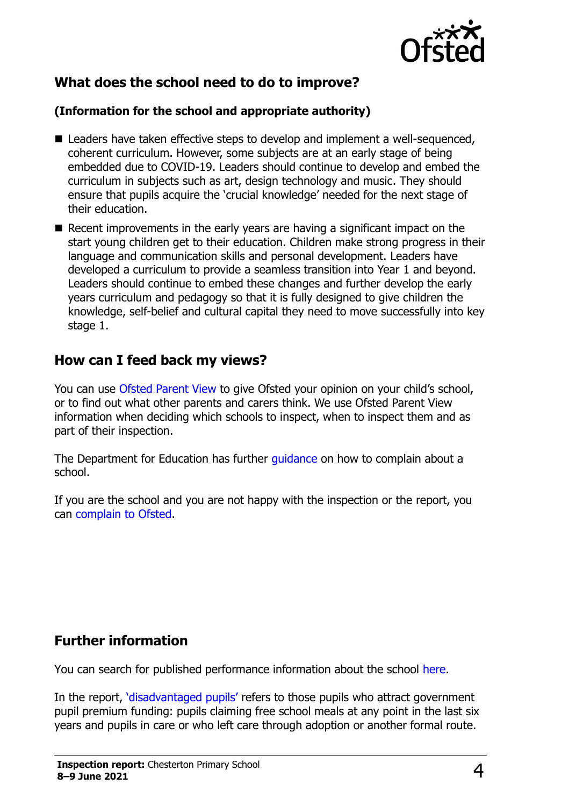

# **What does the school need to do to improve?**

#### **(Information for the school and appropriate authority)**

- Leaders have taken effective steps to develop and implement a well-sequenced, coherent curriculum. However, some subjects are at an early stage of being embedded due to COVID-19. Leaders should continue to develop and embed the curriculum in subjects such as art, design technology and music. They should ensure that pupils acquire the 'crucial knowledge' needed for the next stage of their education.
- $\blacksquare$  Recent improvements in the early years are having a significant impact on the start young children get to their education. Children make strong progress in their language and communication skills and personal development. Leaders have developed a curriculum to provide a seamless transition into Year 1 and beyond. Leaders should continue to embed these changes and further develop the early years curriculum and pedagogy so that it is fully designed to give children the knowledge, self-belief and cultural capital they need to move successfully into key stage 1.

## **How can I feed back my views?**

You can use [Ofsted Parent View](http://parentview.ofsted.gov.uk/) to give Ofsted your opinion on your child's school, or to find out what other parents and carers think. We use Ofsted Parent View information when deciding which schools to inspect, when to inspect them and as part of their inspection.

The Department for Education has further *quidance* on how to complain about a school.

If you are the school and you are not happy with the inspection or the report, you can [complain to Ofsted.](http://www.gov.uk/complain-ofsted-report)

## **Further information**

You can search for published performance information about the school [here.](http://www.compare-school-performance.service.gov.uk/)

In the report, '[disadvantaged pupils](http://www.gov.uk/guidance/pupil-premium-information-for-schools-and-alternative-provision-settings)' refers to those pupils who attract government pupil premium funding: pupils claiming free school meals at any point in the last six years and pupils in care or who left care through adoption or another formal route.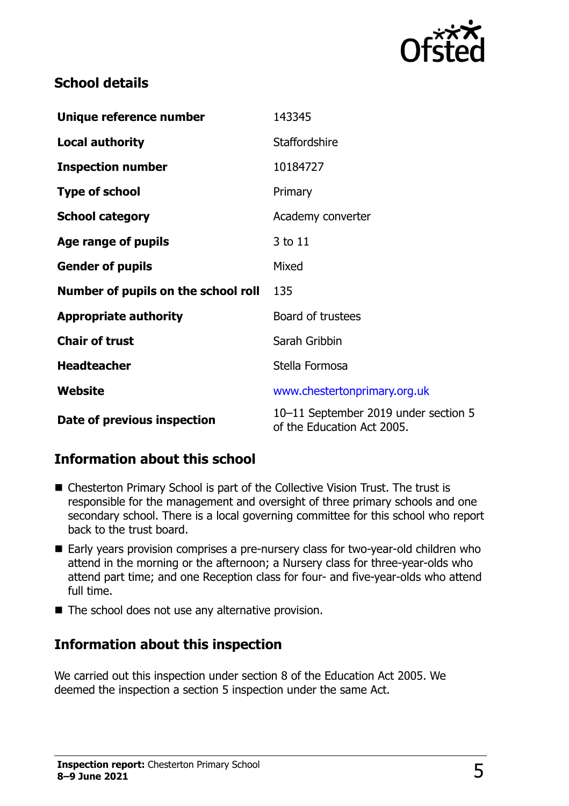

# **School details**

| Unique reference number             | 143345                                                             |
|-------------------------------------|--------------------------------------------------------------------|
| <b>Local authority</b>              | Staffordshire                                                      |
| <b>Inspection number</b>            | 10184727                                                           |
| <b>Type of school</b>               | Primary                                                            |
| <b>School category</b>              | Academy converter                                                  |
| Age range of pupils                 | 3 to 11                                                            |
| <b>Gender of pupils</b>             | Mixed                                                              |
| Number of pupils on the school roll | 135                                                                |
| <b>Appropriate authority</b>        | Board of trustees                                                  |
| <b>Chair of trust</b>               | Sarah Gribbin                                                      |
| <b>Headteacher</b>                  | Stella Formosa                                                     |
| Website                             | www.chestertonprimary.org.uk                                       |
| Date of previous inspection         | 10-11 September 2019 under section 5<br>of the Education Act 2005. |

# **Information about this school**

- Chesterton Primary School is part of the Collective Vision Trust. The trust is responsible for the management and oversight of three primary schools and one secondary school. There is a local governing committee for this school who report back to the trust board.
- Early years provision comprises a pre-nursery class for two-year-old children who attend in the morning or the afternoon; a Nursery class for three-year-olds who attend part time; and one Reception class for four- and five-year-olds who attend full time.
- $\blacksquare$  The school does not use any alternative provision.

## **Information about this inspection**

We carried out this inspection under section 8 of the Education Act 2005. We deemed the inspection a section 5 inspection under the same Act.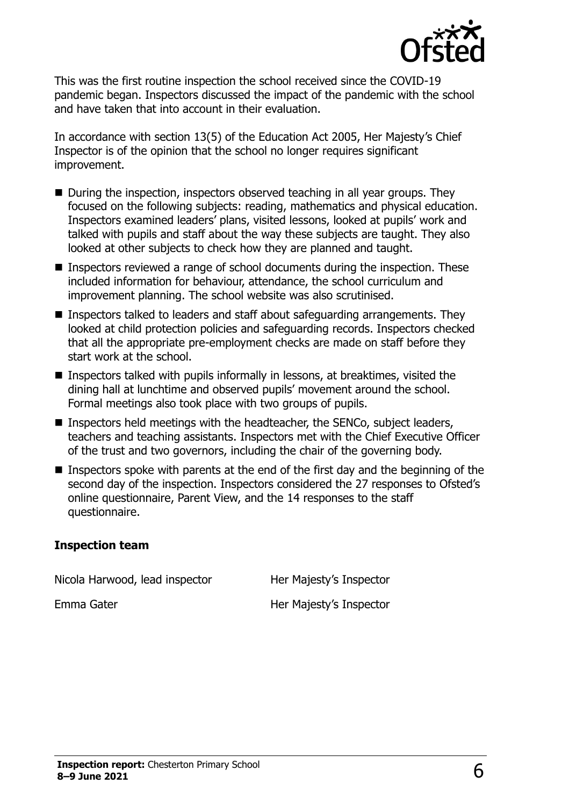

This was the first routine inspection the school received since the COVID-19 pandemic began. Inspectors discussed the impact of the pandemic with the school and have taken that into account in their evaluation.

In accordance with section 13(5) of the Education Act 2005, Her Majesty's Chief Inspector is of the opinion that the school no longer requires significant improvement.

- During the inspection, inspectors observed teaching in all year groups. They focused on the following subjects: reading, mathematics and physical education. Inspectors examined leaders' plans, visited lessons, looked at pupils' work and talked with pupils and staff about the way these subjects are taught. They also looked at other subjects to check how they are planned and taught.
- Inspectors reviewed a range of school documents during the inspection. These included information for behaviour, attendance, the school curriculum and improvement planning. The school website was also scrutinised.
- Inspectors talked to leaders and staff about safeguarding arrangements. They looked at child protection policies and safeguarding records. Inspectors checked that all the appropriate pre-employment checks are made on staff before they start work at the school.
- **Inspectors talked with pupils informally in lessons, at breaktimes, visited the** dining hall at lunchtime and observed pupils' movement around the school. Formal meetings also took place with two groups of pupils.
- Inspectors held meetings with the headteacher, the SENCo, subject leaders, teachers and teaching assistants. Inspectors met with the Chief Executive Officer of the trust and two governors, including the chair of the governing body.
- Inspectors spoke with parents at the end of the first day and the beginning of the second day of the inspection. Inspectors considered the 27 responses to Ofsted's online questionnaire, Parent View, and the 14 responses to the staff questionnaire.

#### **Inspection team**

Nicola Harwood, lead inspector **Her Majesty's Inspector** 

Emma Gater **Her Majesty's Inspector**